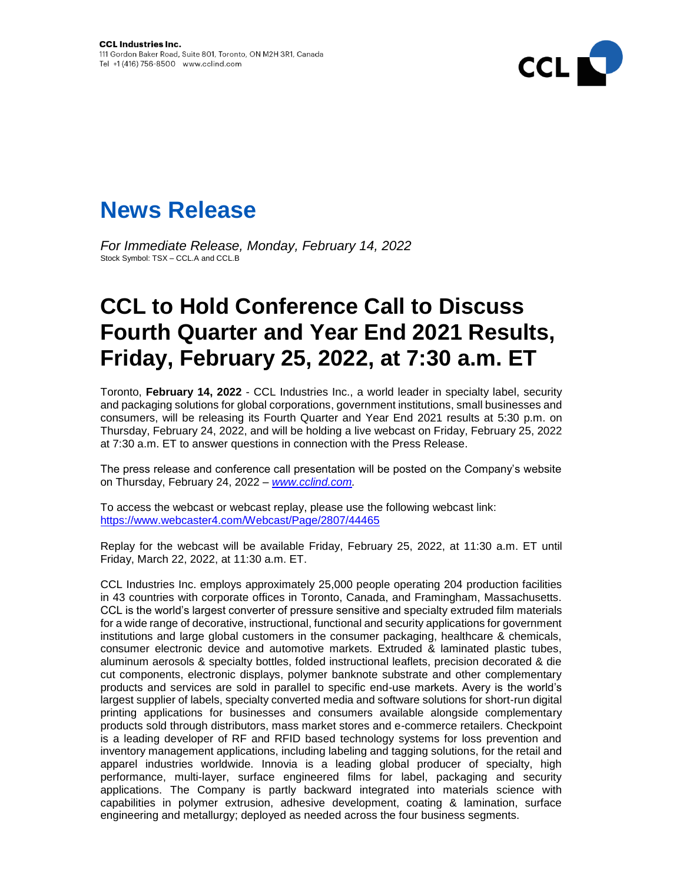



*For Immediate Release, Monday, February 14, 2022*  Stock Symbol: TSX – CCL.A and CCL.B

## **CCL to Hold Conference Call to Discuss Fourth Quarter and Year End 2021 Results, Friday, February 25, 2022, at 7:30 a.m. ET**

Toronto, **February 14, 2022** - CCL Industries Inc., a world leader in specialty label, security and packaging solutions for global corporations, government institutions, small businesses and consumers, will be releasing its Fourth Quarter and Year End 2021 results at 5:30 p.m. on Thursday, February 24, 2022, and will be holding a live webcast on Friday, February 25, 2022 at 7:30 a.m. ET to answer questions in connection with the Press Release.

The press release and conference call presentation will be posted on the Company's website on Thursday, February 24, 2022 *– [www.cclind.com.](http://www.cclind.com/)*

To access the webcast or webcast replay, please use the following webcast link: [https://www.webcaster4.com/Webcast/Page/2807/44465](https://urldefense.proofpoint.com/v2/url?u=https-3A__www.webcaster4.com_Webcast_Page_2807_44465&d=DwMFAg&c=i8WcYkdtj-Ms2X3_u4G0PQ&r=wckaha-oQPSiBvr0gWf1bBVzbP3MkMVSnUNHmjpfgnA&m=xG8gERLNC-ZbIue9ynwB2NxdCEbXb0Qns46ZENdTEaxM_Y6pABg4eOcN0T6IrqeI&s=fPiqZsUkp78v2Rg7osOlWffRvwGVyY3Vgplr1KZtaAQ&e=)

Replay for the webcast will be available Friday, February 25, 2022, at 11:30 a.m. ET until Friday, March 22, 2022, at 11:30 a.m. ET.

CCL Industries Inc. employs approximately 25,000 people operating 204 production facilities in 43 countries with corporate offices in Toronto, Canada, and Framingham, Massachusetts. CCL is the world's largest converter of pressure sensitive and specialty extruded film materials for a wide range of decorative, instructional, functional and security applications for government institutions and large global customers in the consumer packaging, healthcare & chemicals, consumer electronic device and automotive markets. Extruded & laminated plastic tubes, aluminum aerosols & specialty bottles, folded instructional leaflets, precision decorated & die cut components, electronic displays, polymer banknote substrate and other complementary products and services are sold in parallel to specific end-use markets. Avery is the world's largest supplier of labels, specialty converted media and software solutions for short-run digital printing applications for businesses and consumers available alongside complementary products sold through distributors, mass market stores and e-commerce retailers. Checkpoint is a leading developer of RF and RFID based technology systems for loss prevention and inventory management applications, including labeling and tagging solutions, for the retail and apparel industries worldwide. Innovia is a leading global producer of specialty, high performance, multi-layer, surface engineered films for label, packaging and security applications. The Company is partly backward integrated into materials science with capabilities in polymer extrusion, adhesive development, coating & lamination, surface engineering and metallurgy; deployed as needed across the four business segments.